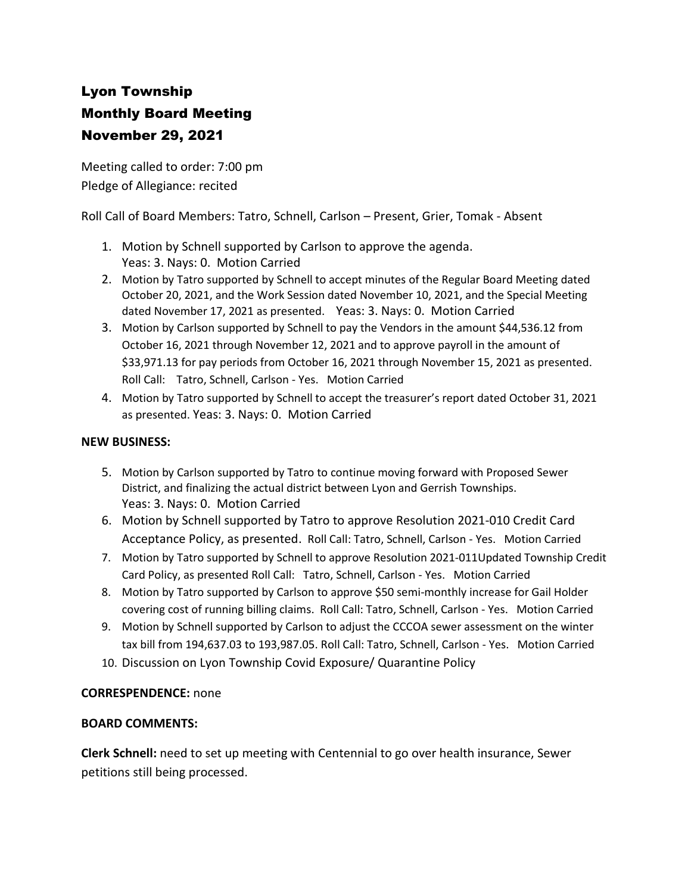## Lyon Township Monthly Board Meeting November 29, 2021

Meeting called to order: 7:00 pm Pledge of Allegiance: recited

Roll Call of Board Members: Tatro, Schnell, Carlson – Present, Grier, Tomak - Absent

- 1. Motion by Schnell supported by Carlson to approve the agenda. Yeas: 3. Nays: 0. Motion Carried
- 2. Motion by Tatro supported by Schnell to accept minutes of the Regular Board Meeting dated October 20, 2021, and the Work Session dated November 10, 2021, and the Special Meeting dated November 17, 2021 as presented. Yeas: 3. Nays: 0. Motion Carried
- 3. Motion by Carlson supported by Schnell to pay the Vendors in the amount \$44,536.12 from October 16, 2021 through November 12, 2021 and to approve payroll in the amount of \$33,971.13 for pay periods from October 16, 2021 through November 15, 2021 as presented. Roll Call: Tatro, Schnell, Carlson - Yes. Motion Carried
- 4. Motion by Tatro supported by Schnell to accept the treasurer's report dated October 31, 2021 as presented. Yeas: 3. Nays: 0. Motion Carried

## **NEW BUSINESS:**

- 5. Motion by Carlson supported by Tatro to continue moving forward with Proposed Sewer District, and finalizing the actual district between Lyon and Gerrish Townships. Yeas: 3. Nays: 0. Motion Carried
- 6. Motion by Schnell supported by Tatro to approve Resolution 2021-010 Credit Card Acceptance Policy, as presented. Roll Call: Tatro, Schnell, Carlson - Yes. Motion Carried
- 7. Motion by Tatro supported by Schnell to approve Resolution 2021-011Updated Township Credit Card Policy, as presented Roll Call: Tatro, Schnell, Carlson - Yes. Motion Carried
- 8. Motion by Tatro supported by Carlson to approve \$50 semi-monthly increase for Gail Holder covering cost of running billing claims. Roll Call: Tatro, Schnell, Carlson - Yes. Motion Carried
- 9. Motion by Schnell supported by Carlson to adjust the CCCOA sewer assessment on the winter tax bill from 194,637.03 to 193,987.05. Roll Call: Tatro, Schnell, Carlson - Yes. Motion Carried
- 10. Discussion on Lyon Township Covid Exposure/ Quarantine Policy

## **CORRESPENDENCE:** none

## **BOARD COMMENTS:**

**Clerk Schnell:** need to set up meeting with Centennial to go over health insurance, Sewer petitions still being processed.